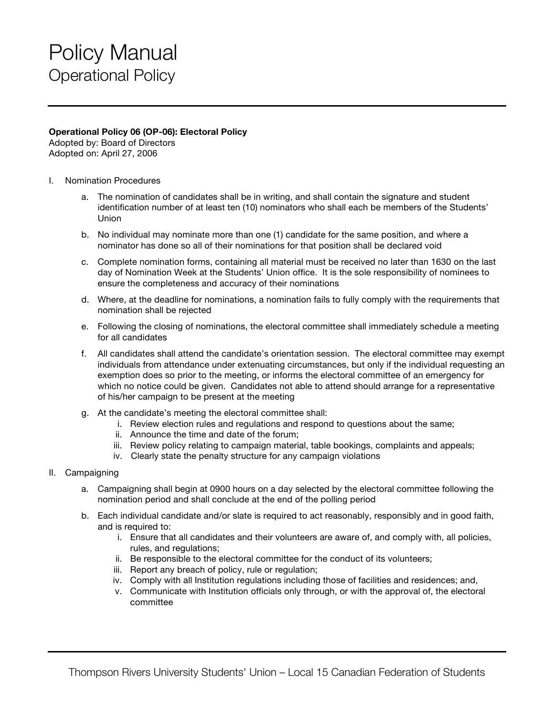## Policy Manual Operational Policy

## **Operational Policy 06 (OP-06): Electoral Policy**

Adopted by: Board of Directors Adopted on: April 27, 2006

- I. Nomination Procedures
	- a. The nomination of candidates shall be in writing, and shall contain the signature and student identification number of at least ten (10) nominators who shall each be members of the Students' Union
	- b. No individual may nominate more than one (1) candidate for the same position, and where a nominator has done so all of their nominations for that position shall be declared void
	- c. Complete nomination forms, containing all material must be received no later than 1630 on the last day of Nomination Week at the Students' Union office. It is the sole responsibility of nominees to ensure the completeness and accuracy of their nominations
	- d. Where, at the deadline for nominations, a nomination fails to fully comply with the requirements that nomination shall be rejected
	- e. Following the closing of nominations, the electoral committee shall immediately schedule a meeting for all candidates
	- f. All candidates shall attend the candidate's orientation session. The electoral committee may exempt individuals from attendance under extenuating circumstances, but only if the individual requesting an exemption does so prior to the meeting, or informs the electoral committee of an emergency for which no notice could be given. Candidates not able to attend should arrange for a representative of his/her campaign to be present at the meeting
	- g. At the candidate's meeting the electoral committee shall:
		- i. Review election rules and regulations and respond to questions about the same;
		- ii. Announce the time and date of the forum;
		- iii. Review policy relating to campaign material, table bookings, complaints and appeals;
		- iv. Clearly state the penalty structure for any campaign violations
- II. Campaigning
	- a. Campaigning shall begin at 0900 hours on a day selected by the electoral committee following the nomination period and shall conclude at the end of the polling period
	- b. Each individual candidate and/or slate is required to act reasonably, responsibly and in good faith, and is required to:
		- i. Ensure that all candidates and their volunteers are aware of, and comply with, all policies, rules, and regulations;
		- ii. Be responsible to the electoral committee for the conduct of its volunteers;
		- iii. Report any breach of policy, rule or regulation;
		- iv. Comply with all Institution regulations including those of facilities and residences; and,
		- v. Communicate with Institution officials only through, or with the approval of, the electoral committee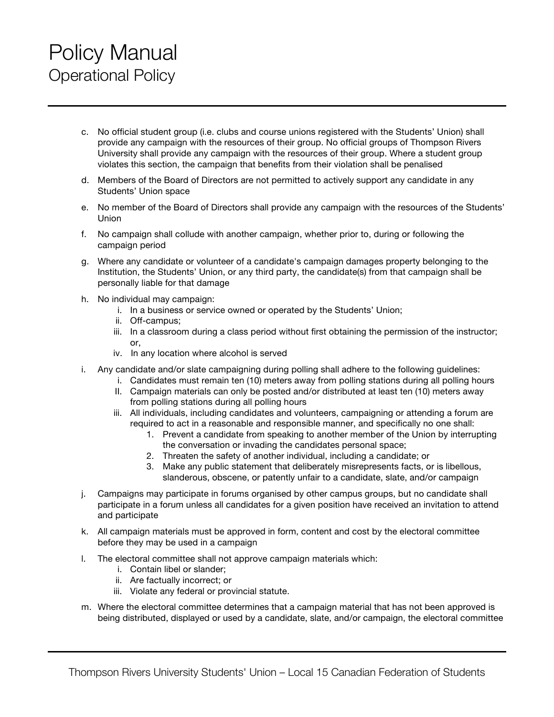## Policy Manual Operational Policy

- c. No official student group (i.e. clubs and course unions registered with the Students' Union) shall provide any campaign with the resources of their group. No official groups of Thompson Rivers University shall provide any campaign with the resources of their group. Where a student group violates this section, the campaign that benefits from their violation shall be penalised
- d. Members of the Board of Directors are not permitted to actively support any candidate in any Students' Union space
- e. No member of the Board of Directors shall provide any campaign with the resources of the Students' Union
- f. No campaign shall collude with another campaign, whether prior to, during or following the campaign period
- g. Where any candidate or volunteer of a candidate's campaign damages property belonging to the Institution, the Students' Union, or any third party, the candidate(s) from that campaign shall be personally liable for that damage
- h. No individual may campaign:
	- i. In a business or service owned or operated by the Students' Union;
	- ii. Off-campus;
	- iii. In a classroom during a class period without first obtaining the permission of the instructor;  $\alpha$ r
	- iv. In any location where alcohol is served
- i. Any candidate and/or slate campaigning during polling shall adhere to the following guidelines:
	- i. Candidates must remain ten (10) meters away from polling stations during all polling hours
		- II. Campaign materials can only be posted and/or distributed at least ten (10) meters away from polling stations during all polling hours
		- iii. All individuals, including candidates and volunteers, campaigning or attending a forum are required to act in a reasonable and responsible manner, and specifically no one shall:
			- 1. Prevent a candidate from speaking to another member of the Union by interrupting the conversation or invading the candidates personal space;
			- 2. Threaten the safety of another individual, including a candidate; or
			- 3. Make any public statement that deliberately misrepresents facts, or is libellous, slanderous, obscene, or patently unfair to a candidate, slate, and/or campaign
- j. Campaigns may participate in forums organised by other campus groups, but no candidate shall participate in a forum unless all candidates for a given position have received an invitation to attend and participate
- k. All campaign materials must be approved in form, content and cost by the electoral committee before they may be used in a campaign
- l. The electoral committee shall not approve campaign materials which:
	- i. Contain libel or slander;
	- ii. Are factually incorrect; or
	- iii. Violate any federal or provincial statute.
- m. Where the electoral committee determines that a campaign material that has not been approved is being distributed, displayed or used by a candidate, slate, and/or campaign, the electoral committee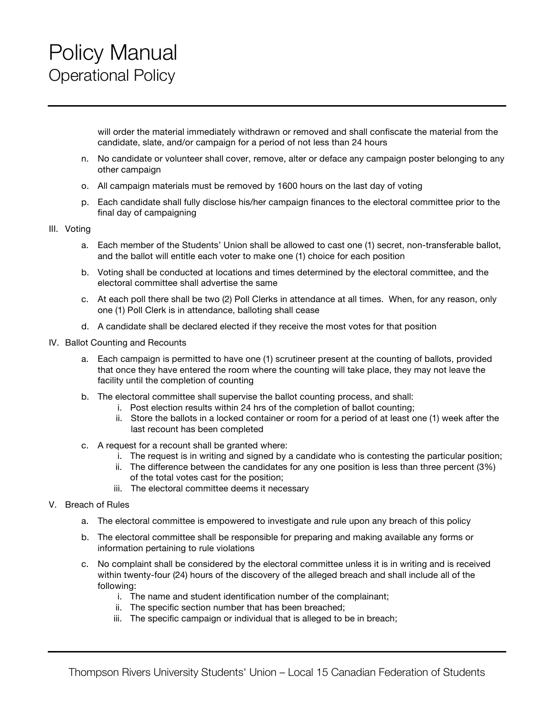will order the material immediately withdrawn or removed and shall confiscate the material from the candidate, slate, and/or campaign for a period of not less than 24 hours

- n. No candidate or volunteer shall cover, remove, alter or deface any campaign poster belonging to any other campaign
- o. All campaign materials must be removed by 1600 hours on the last day of voting
- p. Each candidate shall fully disclose his/her campaign finances to the electoral committee prior to the final day of campaigning

## III. Voting

- a. Each member of the Students' Union shall be allowed to cast one (1) secret, non-transferable ballot, and the ballot will entitle each voter to make one (1) choice for each position
- b. Voting shall be conducted at locations and times determined by the electoral committee, and the electoral committee shall advertise the same
- c. At each poll there shall be two (2) Poll Clerks in attendance at all times. When, for any reason, only one (1) Poll Clerk is in attendance, balloting shall cease
- d. A candidate shall be declared elected if they receive the most votes for that position
- IV. Ballot Counting and Recounts
	- a. Each campaign is permitted to have one (1) scrutineer present at the counting of ballots, provided that once they have entered the room where the counting will take place, they may not leave the facility until the completion of counting
	- b. The electoral committee shall supervise the ballot counting process, and shall:
		- i. Post election results within 24 hrs of the completion of ballot counting;
		- ii. Store the ballots in a locked container or room for a period of at least one (1) week after the last recount has been completed
	- c. A request for a recount shall be granted where:
		- i. The request is in writing and signed by a candidate who is contesting the particular position;
		- ii. The difference between the candidates for any one position is less than three percent (3%) of the total votes cast for the position;
		- iii. The electoral committee deems it necessary
- V. Breach of Rules
	- a. The electoral committee is empowered to investigate and rule upon any breach of this policy
	- b. The electoral committee shall be responsible for preparing and making available any forms or information pertaining to rule violations
	- c. No complaint shall be considered by the electoral committee unless it is in writing and is received within twenty-four (24) hours of the discovery of the alleged breach and shall include all of the following:
		- i. The name and student identification number of the complainant;
		- ii. The specific section number that has been breached;
		- iii. The specific campaign or individual that is alleged to be in breach;